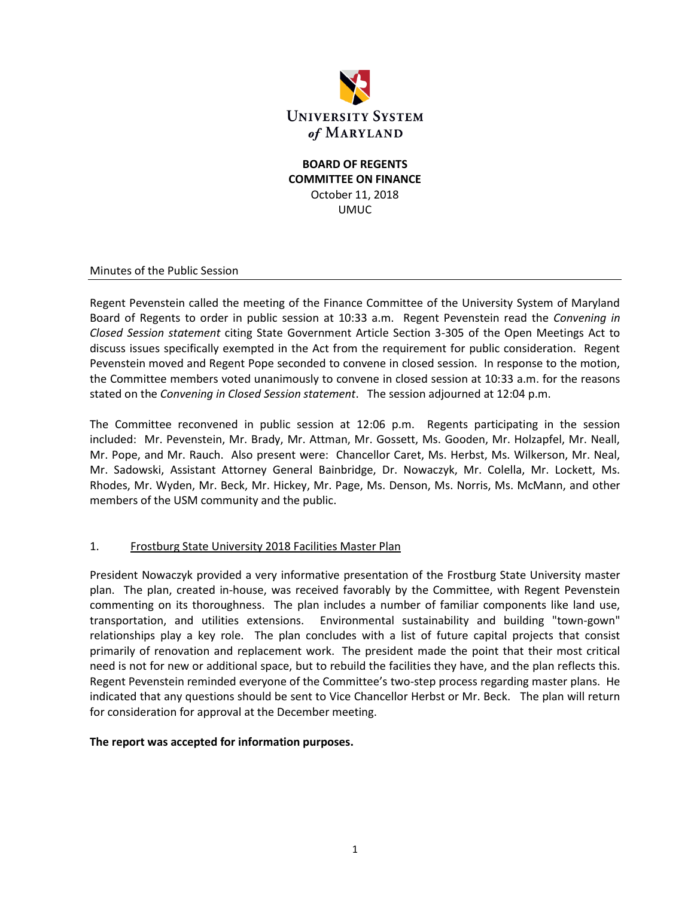

## **BOARD OF REGENTS COMMITTEE ON FINANCE** October 11, 2018 UMUC

#### Minutes of the Public Session

Regent Pevenstein called the meeting of the Finance Committee of the University System of Maryland Board of Regents to order in public session at 10:33 a.m. Regent Pevenstein read the *Convening in Closed Session statement* citing State Government Article Section 3-305 of the Open Meetings Act to discuss issues specifically exempted in the Act from the requirement for public consideration. Regent Pevenstein moved and Regent Pope seconded to convene in closed session. In response to the motion, the Committee members voted unanimously to convene in closed session at 10:33 a.m. for the reasons stated on the *Convening in Closed Session statement*. The session adjourned at 12:04 p.m.

The Committee reconvened in public session at 12:06 p.m. Regents participating in the session included: Mr. Pevenstein, Mr. Brady, Mr. Attman, Mr. Gossett, Ms. Gooden, Mr. Holzapfel, Mr. Neall, Mr. Pope, and Mr. Rauch. Also present were: Chancellor Caret, Ms. Herbst, Ms. Wilkerson, Mr. Neal, Mr. Sadowski, Assistant Attorney General Bainbridge, Dr. Nowaczyk, Mr. Colella, Mr. Lockett, Ms. Rhodes, Mr. Wyden, Mr. Beck, Mr. Hickey, Mr. Page, Ms. Denson, Ms. Norris, Ms. McMann, and other members of the USM community and the public.

### 1. Frostburg State University 2018 Facilities Master Plan

President Nowaczyk provided a very informative presentation of the Frostburg State University master plan. The plan, created in-house, was received favorably by the Committee, with Regent Pevenstein commenting on its thoroughness. The plan includes a number of familiar components like land use, transportation, and utilities extensions. Environmental sustainability and building "town-gown" relationships play a key role. The plan concludes with a list of future capital projects that consist primarily of renovation and replacement work. The president made the point that their most critical need is not for new or additional space, but to rebuild the facilities they have, and the plan reflects this. Regent Pevenstein reminded everyone of the Committee's two-step process regarding master plans. He indicated that any questions should be sent to Vice Chancellor Herbst or Mr. Beck. The plan will return for consideration for approval at the December meeting.

#### **The report was accepted for information purposes.**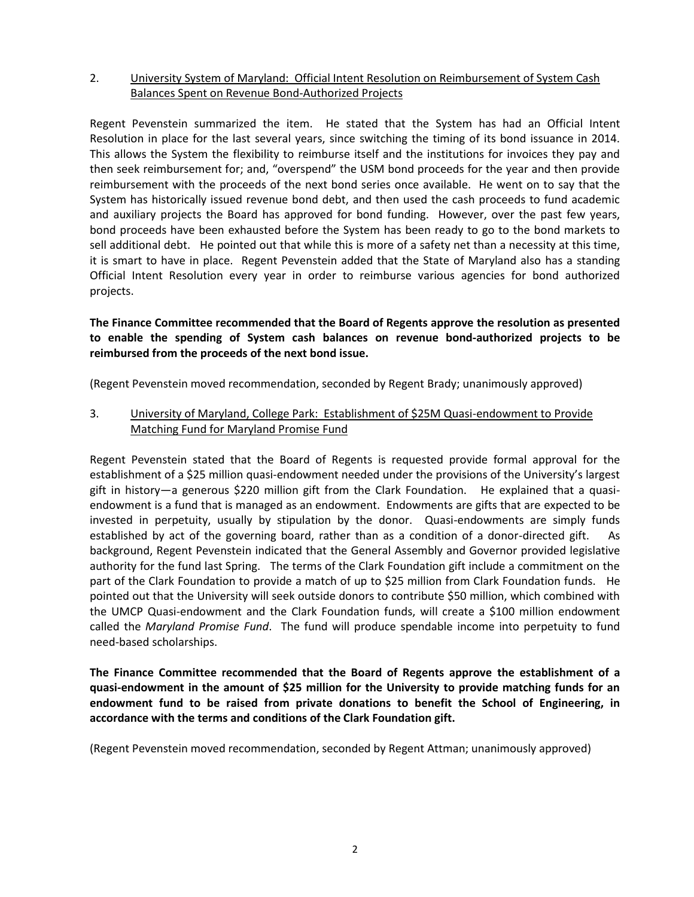## 2. University System of Maryland: Official Intent Resolution on Reimbursement of System Cash Balances Spent on Revenue Bond-Authorized Projects

Regent Pevenstein summarized the item. He stated that the System has had an Official Intent Resolution in place for the last several years, since switching the timing of its bond issuance in 2014. This allows the System the flexibility to reimburse itself and the institutions for invoices they pay and then seek reimbursement for; and, "overspend" the USM bond proceeds for the year and then provide reimbursement with the proceeds of the next bond series once available. He went on to say that the System has historically issued revenue bond debt, and then used the cash proceeds to fund academic and auxiliary projects the Board has approved for bond funding. However, over the past few years, bond proceeds have been exhausted before the System has been ready to go to the bond markets to sell additional debt. He pointed out that while this is more of a safety net than a necessity at this time, it is smart to have in place. Regent Pevenstein added that the State of Maryland also has a standing Official Intent Resolution every year in order to reimburse various agencies for bond authorized projects.

## **The Finance Committee recommended that the Board of Regents approve the resolution as presented to enable the spending of System cash balances on revenue bond-authorized projects to be reimbursed from the proceeds of the next bond issue.**

(Regent Pevenstein moved recommendation, seconded by Regent Brady; unanimously approved)

3. University of Maryland, College Park: Establishment of \$25M Quasi-endowment to Provide Matching Fund for Maryland Promise Fund

Regent Pevenstein stated that the Board of Regents is requested provide formal approval for the establishment of a \$25 million quasi-endowment needed under the provisions of the University's largest gift in history—a generous \$220 million gift from the Clark Foundation. He explained that a quasiendowment is a fund that is managed as an endowment. Endowments are gifts that are expected to be invested in perpetuity, usually by stipulation by the donor. Quasi-endowments are simply funds established by act of the governing board, rather than as a condition of a donor-directed gift. As background, Regent Pevenstein indicated that the General Assembly and Governor provided legislative authority for the fund last Spring. The terms of the Clark Foundation gift include a commitment on the part of the Clark Foundation to provide a match of up to \$25 million from Clark Foundation funds. He pointed out that the University will seek outside donors to contribute \$50 million, which combined with the UMCP Quasi-endowment and the Clark Foundation funds, will create a \$100 million endowment called the *Maryland Promise Fund*. The fund will produce spendable income into perpetuity to fund need-based scholarships.

**The Finance Committee recommended that the Board of Regents approve the establishment of a quasi-endowment in the amount of \$25 million for the University to provide matching funds for an endowment fund to be raised from private donations to benefit the School of Engineering, in accordance with the terms and conditions of the Clark Foundation gift.**

(Regent Pevenstein moved recommendation, seconded by Regent Attman; unanimously approved)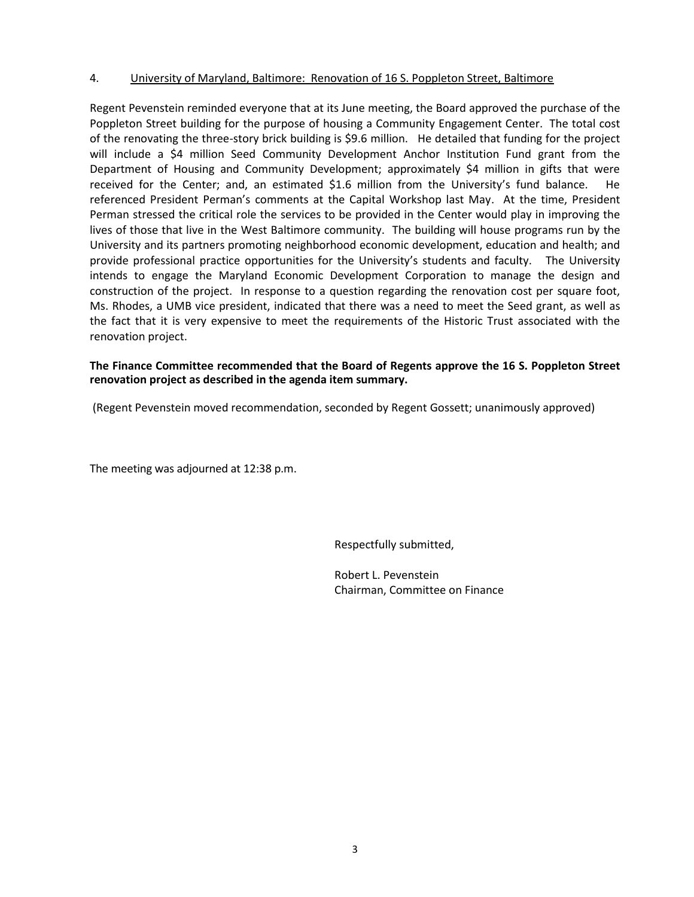#### 4. University of Maryland, Baltimore: Renovation of 16 S. Poppleton Street, Baltimore

Regent Pevenstein reminded everyone that at its June meeting, the Board approved the purchase of the Poppleton Street building for the purpose of housing a Community Engagement Center. The total cost of the renovating the three-story brick building is \$9.6 million. He detailed that funding for the project will include a \$4 million Seed Community Development Anchor Institution Fund grant from the Department of Housing and Community Development; approximately \$4 million in gifts that were received for the Center; and, an estimated \$1.6 million from the University's fund balance. He referenced President Perman's comments at the Capital Workshop last May. At the time, President Perman stressed the critical role the services to be provided in the Center would play in improving the lives of those that live in the West Baltimore community. The building will house programs run by the University and its partners promoting neighborhood economic development, education and health; and provide professional practice opportunities for the University's students and faculty. The University intends to engage the Maryland Economic Development Corporation to manage the design and construction of the project. In response to a question regarding the renovation cost per square foot, Ms. Rhodes, a UMB vice president, indicated that there was a need to meet the Seed grant, as well as the fact that it is very expensive to meet the requirements of the Historic Trust associated with the renovation project.

#### **The Finance Committee recommended that the Board of Regents approve the 16 S. Poppleton Street renovation project as described in the agenda item summary.**

(Regent Pevenstein moved recommendation, seconded by Regent Gossett; unanimously approved)

The meeting was adjourned at 12:38 p.m.

Respectfully submitted,

Robert L. Pevenstein Chairman, Committee on Finance